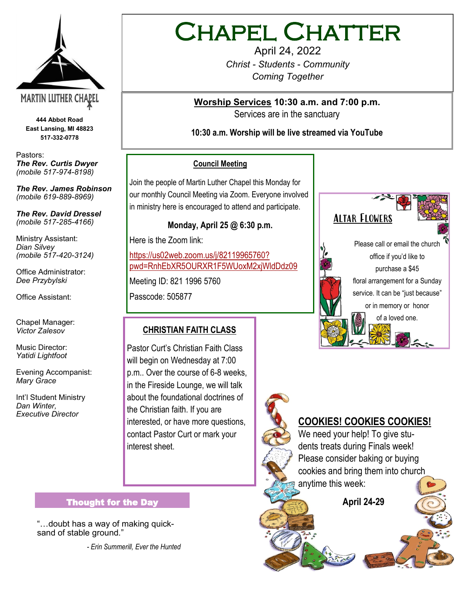

**444 Abbot Road East Lansing, MI 48823 517-332-0778**

Pastors: *The Rev. Curtis Dwyer (mobile 517-974-8198)*

*The Rev. James Robinson (mobile 619-889-8969)*

*The Rev. David Dressel (mobile 517-285-4166)*

Ministry Assistant: *Dian Silvey (mobile 517-420-3124)*

Office Administrator: *Dee Przybylski*

Office Assistant:

Chapel Manager: *Victor Zalesov*

Music Director: *Yatidi Lightfoot* 

Evening Accompanist: *Mary Grace*

Int'l Student Ministry *Dan Winter, Executive Director*

# Chapel Chatter

April 24, 2022 *Christ - Students - Community Coming Together*

**Worship Services 10:30 a.m. and 7:00 p.m.**  Services are in the sanctuary

**10:30 a.m. Worship will be live streamed via YouTube**

#### **Council Meeting**

Join the people of Martin Luther Chapel this Monday for our monthly Council Meeting via Zoom. Everyone involved in ministry here is encouraged to attend and participate.

## **Monday, April 25 @ 6:30 p.m.**

Here is the Zoom link:

[https://us02web.zoom.us/j/82119965760?](https://us02web.zoom.us/j/82119965760?pwd=RnhEbXR5OURXR1F5WUoxM2xjWldDdz09) [pwd=RnhEbXR5OURXR1F5WUoxM2xjWldDdz09](https://us02web.zoom.us/j/82119965760?pwd=RnhEbXR5OURXR1F5WUoxM2xjWldDdz09)

Meeting ID: 821 1996 5760

Passcode: 505877

# **CHRISTIAN FAITH CLASS**

Pastor Curt's Christian Faith Class will begin on Wednesday at 7:00 p.m.. Over the course of 6-8 weeks, in the Fireside Lounge, we will talk about the foundational doctrines of the Christian faith. If you are interested, or have more questions, contact Pastor Curt or mark your interest sheet.



Altar Flowers



Please call or email the church office if you'd like to purchase a \$45 floral arrangement for a Sunday service. It can be "just because" or in memory or honor of a loved one.



# **COOKIES! COOKIES COOKIES!**

We need your help! To give students treats during Finals week! Please consider baking or buying cookies and bring them into church anytime this week:

 **April 24-29**

#### Thought for the Day

"…doubt has a way of making quicksand of stable ground."

*- Erin Summerill, Ever the Hunted*